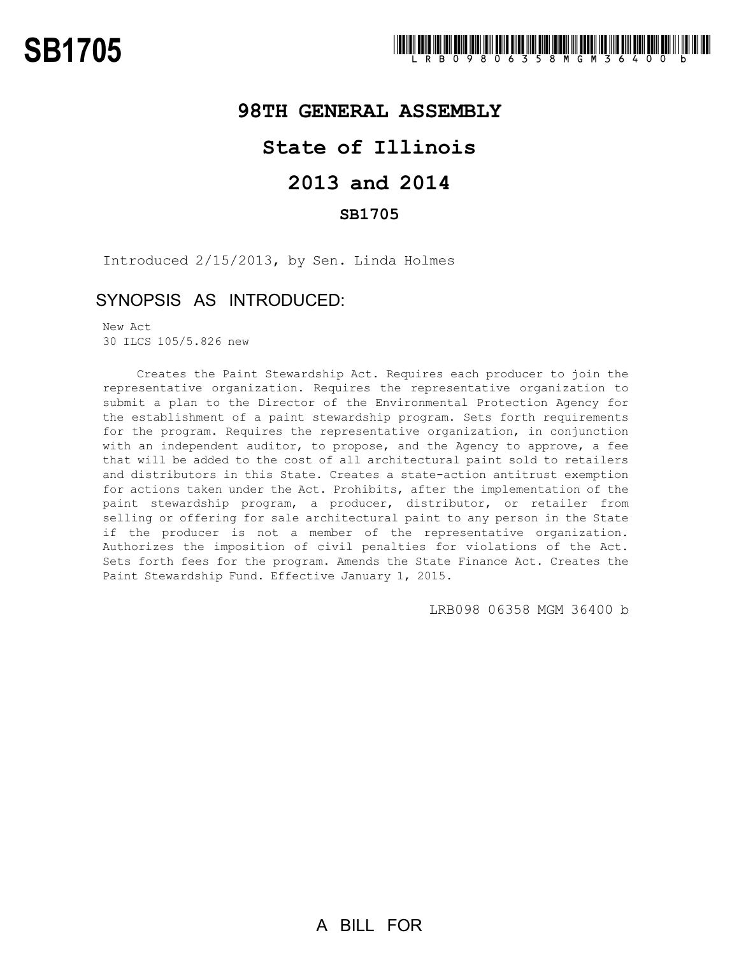### **98TH GENERAL ASSEMBLY**

# **State of Illinois**

## **2013 and 2014**

#### **SB1705**

Introduced 2/15/2013, by Sen. Linda Holmes

### SYNOPSIS AS INTRODUCED:

New Act 30 ILCS 105/5.826 new

Creates the Paint Stewardship Act. Requires each producer to join the representative organization. Requires the representative organization to submit a plan to the Director of the Environmental Protection Agency for the establishment of a paint stewardship program. Sets forth requirements for the program. Requires the representative organization, in conjunction with an independent auditor, to propose, and the Agency to approve, a fee that will be added to the cost of all architectural paint sold to retailers and distributors in this State. Creates a state-action antitrust exemption for actions taken under the Act. Prohibits, after the implementation of the paint stewardship program, a producer, distributor, or retailer from selling or offering for sale architectural paint to any person in the State if the producer is not a member of the representative organization. Authorizes the imposition of civil penalties for violations of the Act. Sets forth fees for the program. Amends the State Finance Act. Creates the Paint Stewardship Fund. Effective January 1, 2015.

LRB098 06358 MGM 36400 b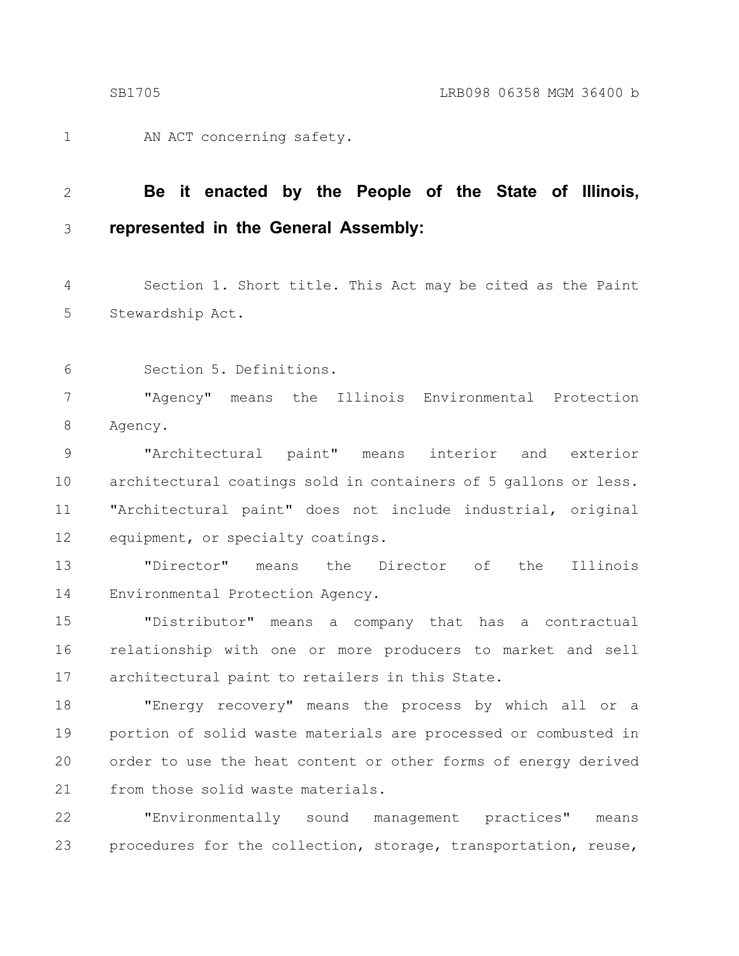AN ACT concerning safety. 1

#### **Be it enacted by the People of the State of Illinois, represented in the General Assembly:** 2 3

Section 1. Short title. This Act may be cited as the Paint Stewardship Act. 4 5

Section 5. Definitions. 6

"Agency" means the Illinois Environmental Protection Agency. 7 8

"Architectural paint" means interior and exterior architectural coatings sold in containers of 5 gallons or less. "Architectural paint" does not include industrial, original equipment, or specialty coatings. 9 10 11 12

"Director" means the Director of the Illinois Environmental Protection Agency. 13 14

"Distributor" means a company that has a contractual relationship with one or more producers to market and sell architectural paint to retailers in this State. 15 16 17

"Energy recovery" means the process by which all or a portion of solid waste materials are processed or combusted in order to use the heat content or other forms of energy derived from those solid waste materials. 18 19 20 21

"Environmentally sound management practices" means procedures for the collection, storage, transportation, reuse, 22 23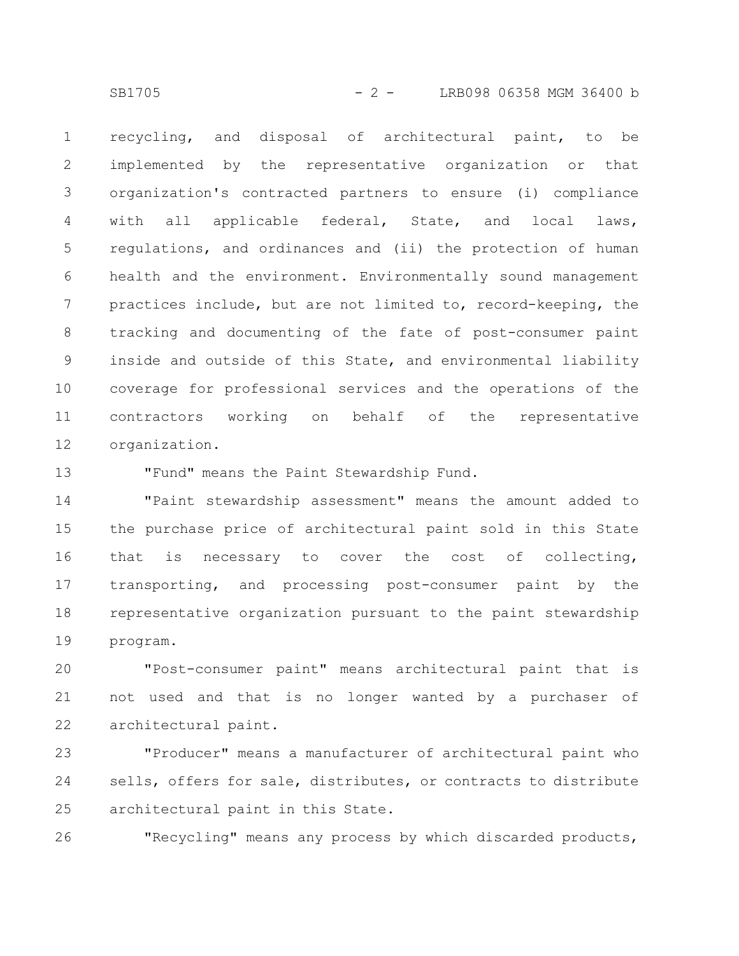SB1705 - 2 - LRB098 06358 MGM 36400 b

recycling, and disposal of architectural paint, to be implemented by the representative organization or that organization's contracted partners to ensure (i) compliance with all applicable federal, State, and local laws, regulations, and ordinances and (ii) the protection of human health and the environment. Environmentally sound management practices include, but are not limited to, record-keeping, the tracking and documenting of the fate of post-consumer paint inside and outside of this State, and environmental liability coverage for professional services and the operations of the contractors working on behalf of the representative organization. 1 2 3 4 5 6 7 8 9 10 11 12

13

"Fund" means the Paint Stewardship Fund.

"Paint stewardship assessment" means the amount added to the purchase price of architectural paint sold in this State that is necessary to cover the cost of collecting, transporting, and processing post-consumer paint by the representative organization pursuant to the paint stewardship program. 14 15 16 17 18 19

"Post-consumer paint" means architectural paint that is not used and that is no longer wanted by a purchaser of architectural paint. 20 21 22

"Producer" means a manufacturer of architectural paint who sells, offers for sale, distributes, or contracts to distribute architectural paint in this State. 23 24 25

"Recycling" means any process by which discarded products, 26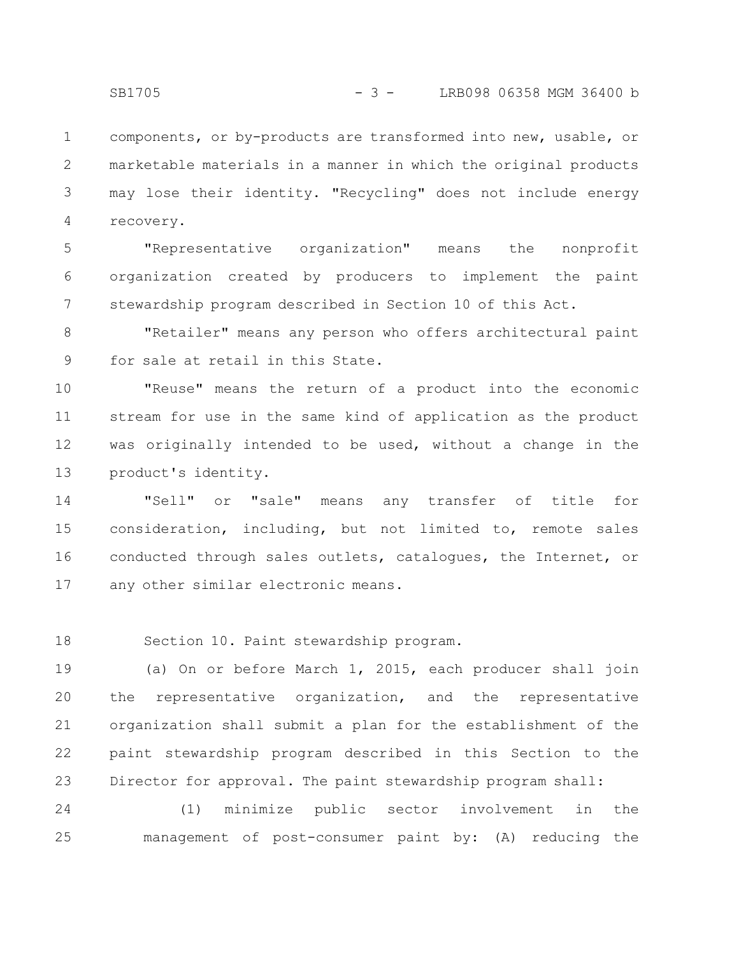components, or by-products are transformed into new, usable, or marketable materials in a manner in which the original products may lose their identity. "Recycling" does not include energy recovery. 1 2 3 4

"Representative organization" means the nonprofit organization created by producers to implement the paint stewardship program described in Section 10 of this Act. 5 6 7

"Retailer" means any person who offers architectural paint for sale at retail in this State. 8 9

"Reuse" means the return of a product into the economic stream for use in the same kind of application as the product was originally intended to be used, without a change in the product's identity. 10 11 12 13

"Sell" or "sale" means any transfer of title for consideration, including, but not limited to, remote sales conducted through sales outlets, catalogues, the Internet, or any other similar electronic means. 14 15 16 17

18

Section 10. Paint stewardship program.

(a) On or before March 1, 2015, each producer shall join the representative organization, and the representative organization shall submit a plan for the establishment of the paint stewardship program described in this Section to the Director for approval. The paint stewardship program shall: 19 20 21 22 23

(1) minimize public sector involvement in the management of post-consumer paint by: (A) reducing the 24 25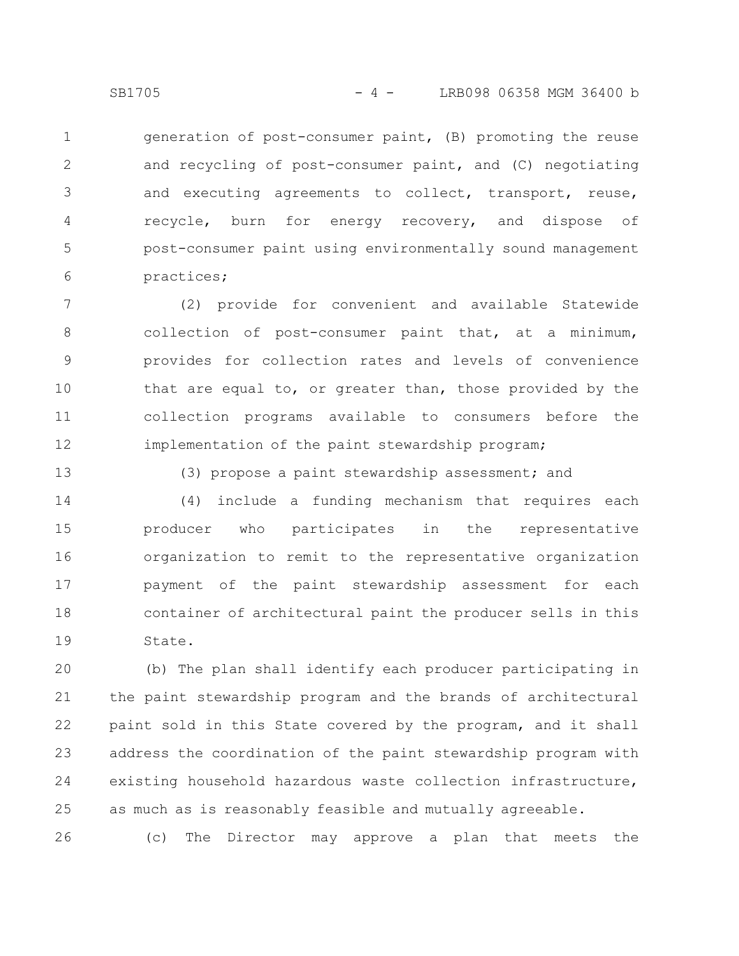generation of post-consumer paint, (B) promoting the reuse and recycling of post-consumer paint, and (C) negotiating and executing agreements to collect, transport, reuse, recycle, burn for energy recovery, and dispose of post-consumer paint using environmentally sound management practices; 1 2 3 4 5 6

(2) provide for convenient and available Statewide collection of post-consumer paint that, at a minimum, provides for collection rates and levels of convenience that are equal to, or greater than, those provided by the collection programs available to consumers before the implementation of the paint stewardship program; 7 8 9 10 11 12

13

(3) propose a paint stewardship assessment; and

(4) include a funding mechanism that requires each producer who participates in the representative organization to remit to the representative organization payment of the paint stewardship assessment for each container of architectural paint the producer sells in this State. 14 15 16 17 18 19

(b) The plan shall identify each producer participating in the paint stewardship program and the brands of architectural paint sold in this State covered by the program, and it shall address the coordination of the paint stewardship program with existing household hazardous waste collection infrastructure, as much as is reasonably feasible and mutually agreeable. 20 21 22 23 24 25

(c) The Director may approve a plan that meets the 26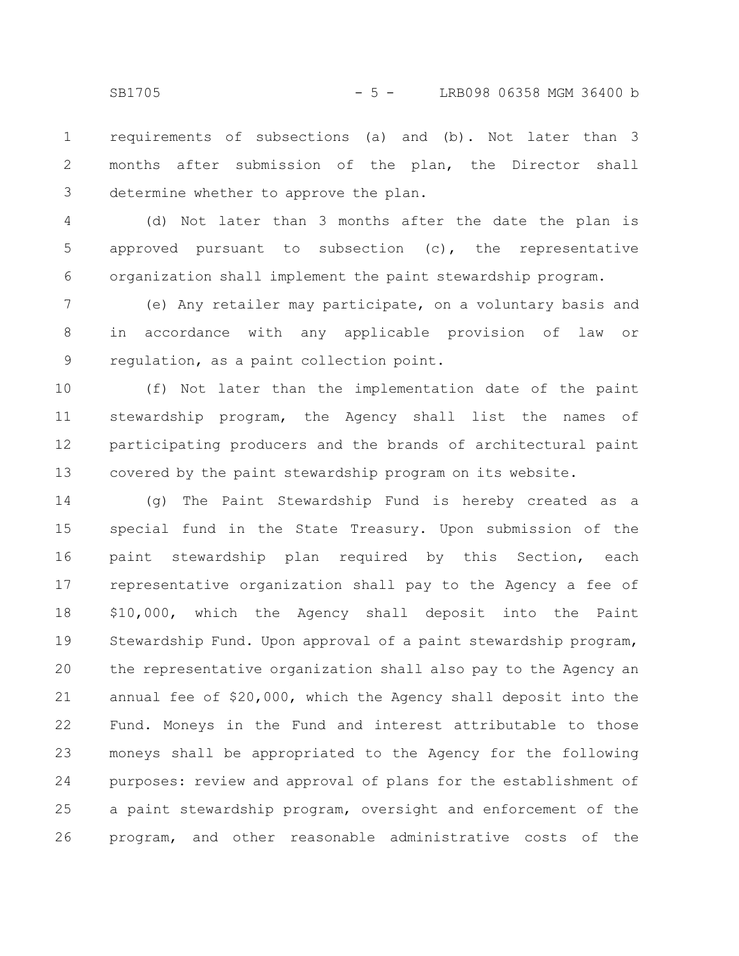requirements of subsections (a) and (b). Not later than 3 months after submission of the plan, the Director shall determine whether to approve the plan. 1 2 3

(d) Not later than 3 months after the date the plan is approved pursuant to subsection (c), the representative organization shall implement the paint stewardship program. 4 5 6

(e) Any retailer may participate, on a voluntary basis and in accordance with any applicable provision of law or regulation, as a paint collection point. 7 8 9

(f) Not later than the implementation date of the paint stewardship program, the Agency shall list the names of participating producers and the brands of architectural paint covered by the paint stewardship program on its website. 10 11 12 13

(g) The Paint Stewardship Fund is hereby created as a special fund in the State Treasury. Upon submission of the paint stewardship plan required by this Section, each representative organization shall pay to the Agency a fee of \$10,000, which the Agency shall deposit into the Paint Stewardship Fund. Upon approval of a paint stewardship program, the representative organization shall also pay to the Agency an annual fee of \$20,000, which the Agency shall deposit into the Fund. Moneys in the Fund and interest attributable to those moneys shall be appropriated to the Agency for the following purposes: review and approval of plans for the establishment of a paint stewardship program, oversight and enforcement of the program, and other reasonable administrative costs of the 14 15 16 17 18 19 20 21 22 23 24 25 26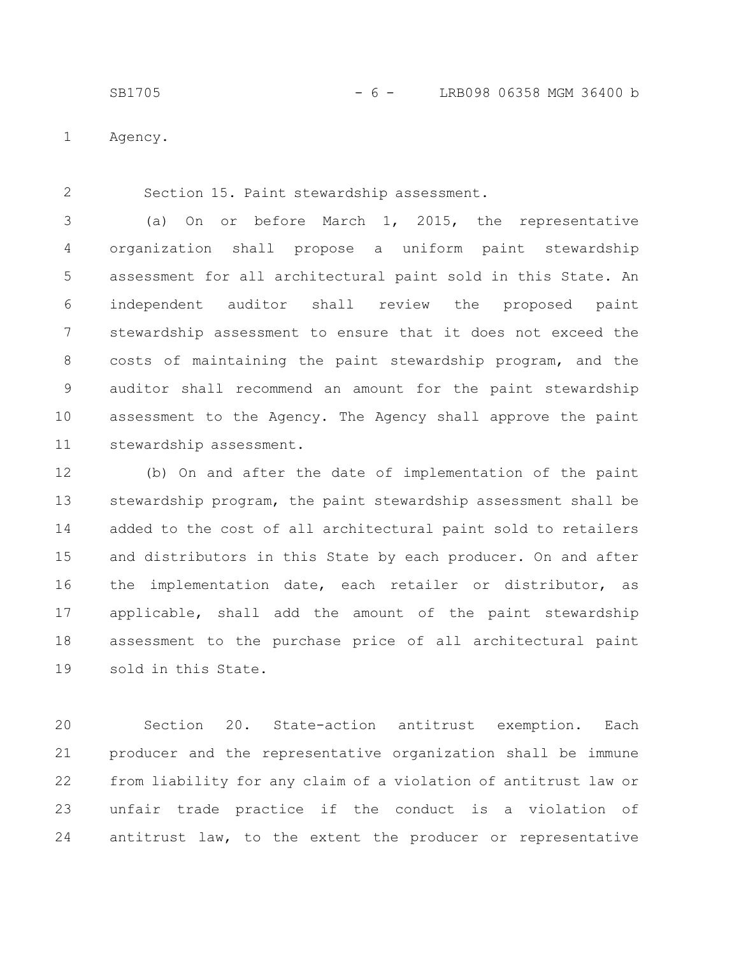SB1705 - 6 - LRB098 06358 MGM 36400 b

Agency. 1

2

Section 15. Paint stewardship assessment.

(a) On or before March 1, 2015, the representative organization shall propose a uniform paint stewardship assessment for all architectural paint sold in this State. An independent auditor shall review the proposed paint stewardship assessment to ensure that it does not exceed the costs of maintaining the paint stewardship program, and the auditor shall recommend an amount for the paint stewardship assessment to the Agency. The Agency shall approve the paint stewardship assessment. 3 4 5 6 7 8 9 10 11

(b) On and after the date of implementation of the paint stewardship program, the paint stewardship assessment shall be added to the cost of all architectural paint sold to retailers and distributors in this State by each producer. On and after the implementation date, each retailer or distributor, as applicable, shall add the amount of the paint stewardship assessment to the purchase price of all architectural paint sold in this State. 12 13 14 15 16 17 18 19

Section 20. State-action antitrust exemption. Each producer and the representative organization shall be immune from liability for any claim of a violation of antitrust law or unfair trade practice if the conduct is a violation of antitrust law, to the extent the producer or representative 20 21 22 23 24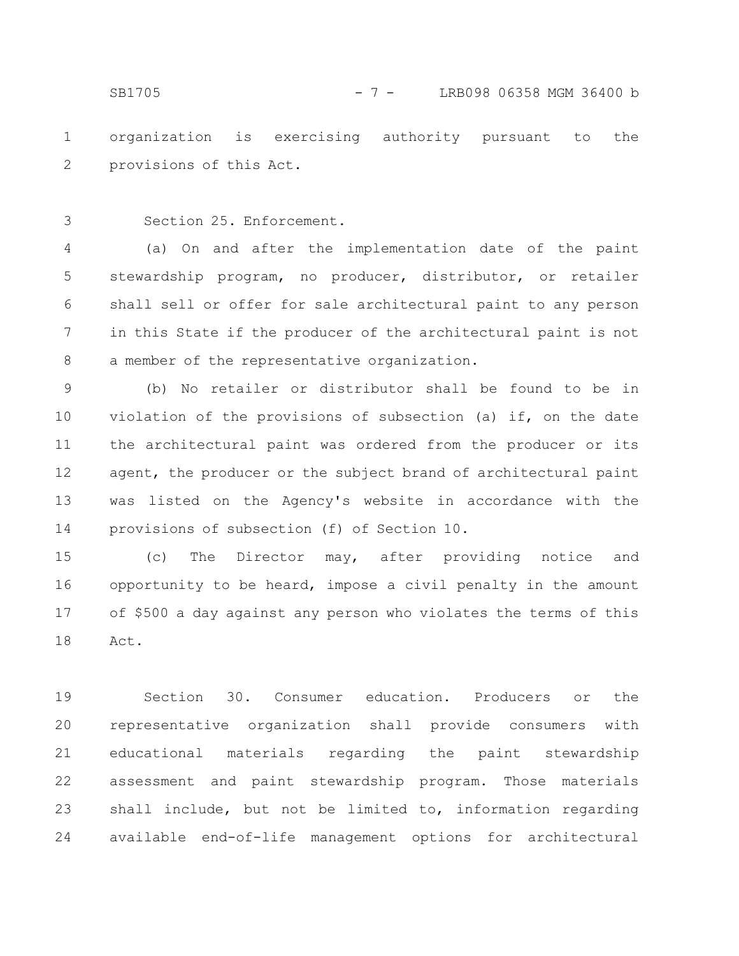organization is exercising authority pursuant to the provisions of this Act. 1 2

3

Section 25. Enforcement.

(a) On and after the implementation date of the paint stewardship program, no producer, distributor, or retailer shall sell or offer for sale architectural paint to any person in this State if the producer of the architectural paint is not a member of the representative organization. 4 5 6 7 8

(b) No retailer or distributor shall be found to be in violation of the provisions of subsection (a) if, on the date the architectural paint was ordered from the producer or its agent, the producer or the subject brand of architectural paint was listed on the Agency's website in accordance with the provisions of subsection (f) of Section 10. 9 10 11 12 13 14

(c) The Director may, after providing notice and opportunity to be heard, impose a civil penalty in the amount of \$500 a day against any person who violates the terms of this Act. 15 16 17 18

Section 30. Consumer education. Producers or the representative organization shall provide consumers with educational materials regarding the paint stewardship assessment and paint stewardship program. Those materials shall include, but not be limited to, information regarding available end-of-life management options for architectural 19 20 21 22 23 24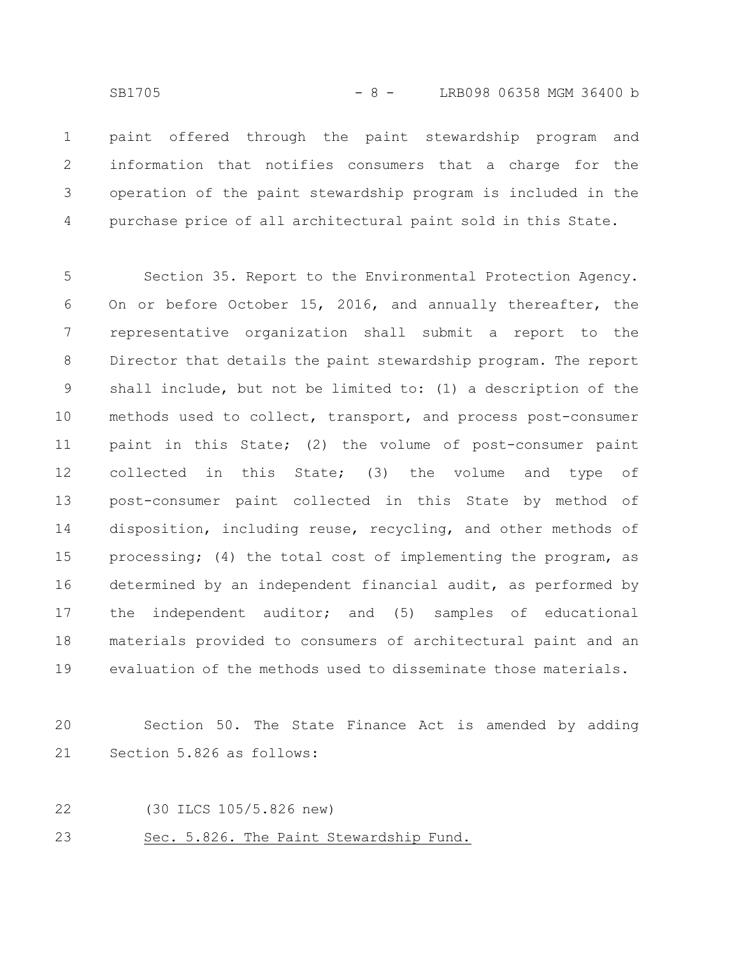paint offered through the paint stewardship program and information that notifies consumers that a charge for the operation of the paint stewardship program is included in the purchase price of all architectural paint sold in this State. 1 2 3 4

Section 35. Report to the Environmental Protection Agency. On or before October 15, 2016, and annually thereafter, the representative organization shall submit a report to the Director that details the paint stewardship program. The report shall include, but not be limited to: (1) a description of the methods used to collect, transport, and process post-consumer paint in this State; (2) the volume of post-consumer paint collected in this State; (3) the volume and type of post-consumer paint collected in this State by method of disposition, including reuse, recycling, and other methods of processing; (4) the total cost of implementing the program, as determined by an independent financial audit, as performed by the independent auditor; and (5) samples of educational materials provided to consumers of architectural paint and an evaluation of the methods used to disseminate those materials. 5 6 7 8 9 10 11 12 13 14 15 16 17 18 19

Section 50. The State Finance Act is amended by adding Section 5.826 as follows: 20 21

22

(30 ILCS 105/5.826 new)

Sec. 5.826. The Paint Stewardship Fund. 23